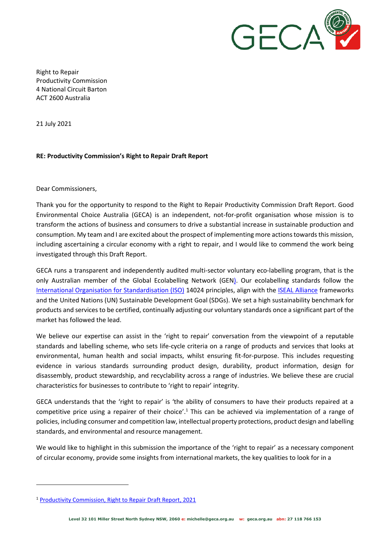

Right to Repair Productivity Commission 4 National Circuit Barton ACT 2600 Australia

21 July 2021

## **RE: Productivity Commission's Right to Repair Draft Report**

Dear Commissioners,

Thank you for the opportunity to respond to the Right to Repair Productivity Commission Draft Report. Good Environmental Choice Australia (GECA) is an independent, not-for-profit organisation whose mission is to transform the actions of business and consumers to drive a substantial increase in sustainable production and consumption. My team and I are excited about the prospect of implementing more actions towards this mission, including ascertaining a circular economy with a right to repair, and I would like to commend the work being investigated through this Draft Report.

GECA runs a transparent and independently audited multi-sector voluntary eco-labelling program, that is the only Australian member of the [Global Ecolabelling Network \(GEN\).](https://globalecolabelling.net/) Our ecolabelling standards follow the [International Organisation for Standardisation \(ISO\)](https://www.iso.org/home.html) 14024 principles, align with the [ISEAL Alliance](https://www.isealalliance.org/) frameworks and the United Nations (UN) Sustainable Development Goal (SDGs). We set a high sustainability benchmark for products and services to be certified, continually adjusting our voluntary standards once a significant part of the market has followed the lead.

We believe our expertise can assist in the 'right to repair' conversation from the viewpoint of a reputable standards and labelling scheme, who sets life-cycle criteria on a range of products and services that looks at environmental, human health and social impacts, whilst ensuring fit-for-purpose. This includes requesting evidence in various standards surrounding product design, durability, product information, design for disassembly, product stewardship, and recyclability across a range of industries. We believe these are crucial characteristics for businesses to contribute to 'right to repair' integrity.

GECA understands that the 'right to repair' is 'the ability of consumers to have their products repaired at a competitive price using a repairer of their choice'.<sup>1</sup> This can be achieved via implementation of a range of policies, including consumer and competition law, intellectual property protections, product design and labelling standards, and environmental and resource management.

We would like to highlight in this submission the importance of the 'right to repair' as a necessary component of circular economy, provide some insights from international markets, the key qualities to look for in a

<sup>&</sup>lt;sup>1</sup> [Productivity Commission, Right to Repair Draft Report, 2021](https://www.pc.gov.au/inquiries/current/repair/draft/repair-draft.pdf,%20accessed%2023%20July%202021)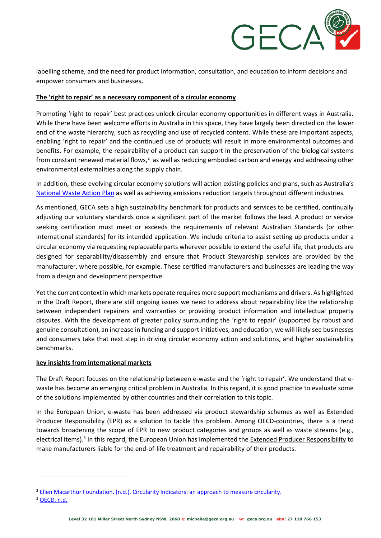

labelling scheme, and the need for product information, consultation, and education to inform decisions and empower consumers and businesses**.**

### **The 'right to repair' as a necessary component of a circular economy**

Promoting 'right to repair' best practices unlock circular economy opportunities in different ways in Australia. While there have been welcome efforts in Australia in this space, they have largely been directed on the lower end of the waste hierarchy, such as recycling and use of recycled content. While these are important aspects, enabling 'right to repair' and the continued use of products will result in more environmental outcomes and benefits. For example, the repairability of a product can support in the preservation of the biological systems from constant renewed material flows,<sup>2</sup> as well as reducing embodied carbon and energy and addressing other environmental externalities along the supply chain.

In addition, these evolving circular economy solutions will action existing policies and plans, such as Australia's [National Waste Action Plan](https://www.environment.gov.au/protection/waste/publications/national-waste-policy-action-plan) as well as achieving emissions reduction targets throughout different industries.

As mentioned, GECA sets a high sustainability benchmark for products and services to be certified, continually adjusting our voluntary standards once a significant part of the market follows the lead. A product or service seeking certification must meet or exceeds the requirements of relevant Australian Standards (or other international standards) for its intended application. We include criteria to assist setting up products under a circular economy via requesting replaceable parts wherever possible to extend the useful life, that products are designed for separability/disassembly and ensure that Product Stewardship services are provided by the manufacturer, where possible, for example. These certified manufacturers and businesses are leading the way from a design and development perspective.

Yet the current context in which markets operate requires more support mechanisms and drivers. As highlighted in the Draft Report, there are still ongoing issues we need to address about repairability like the relationship between independent repairers and warranties or providing product information and intellectual property disputes. With the development of greater policy surrounding the 'right to repair' (supported by robust and genuine consultation), an increase in funding and support initiatives, and education, we will likely see businesses and consumers take that next step in driving circular economy action and solutions, and higher sustainability benchmarks.

## **key insights from international markets**

The Draft Report focuses on the relationship between e-waste and the 'right to repair'. We understand that ewaste has become an emerging critical problem in Australia. In this regard, it is good practice to evaluate some of the solutions implemented by other countries and their correlation to this topic.

In the European Union, e-waste has been addressed via product stewardship schemes as well as Extended Producer Responsibility (EPR) as a solution to tackle this problem. Among OECD-countries, there is a trend towards broadening the scope of EPR to new product categories and groups as well as waste streams (e.g., electrical items).<sup>3</sup> In this regard, the European Union has implemented the [Extended Producer Responsibility](https://eur-lex.europa.eu/legal-content/EN/TXT/PDF/?uri=CELEX:32018L0851&from=EN) to make manufacturers liable for the end-of-life treatment and repairability of their products.

<sup>2</sup> [Ellen Macarthur Foundation. \(n.d.\). Circularity Indicators: an approach to measure circularity.](https://www.ellenmacarthurfoundation.org/assets/downloads/Circularity-Indicators-Methodology.pdf)

<sup>&</sup>lt;sup>3</sup> [OECD,](https://www.oecd.org/env/tools-evaluation/extendedproducerresponsibility.htm) n.d.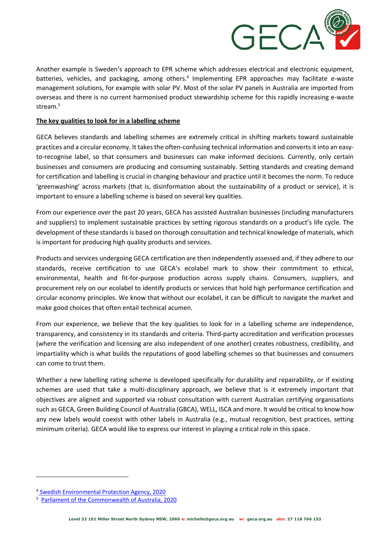

Another example is Sweden's approach to EPR scheme which addresses electrical and electronic equipment, batteries, vehicles, and packaging, among others.<sup>4</sup> Implementing EPR approaches may facilitate e-waste management solutions, for example with solar PV. Most of the solar PV panels in Australia are imported from overseas and there is no current harmonised product stewardship scheme for this rapidly increasing e-waste stream. 5

## **The key qualities to look for in a labelling scheme**

GECA believes standards and labelling schemes are extremely critical in shifting markets toward sustainable practices and a circular economy. It takes the often-confusing technical information and converts it into an easyto-recognise label, so that consumers and businesses can make informed decisions. Currently, only certain businesses and consumers are producing and consuming sustainably. Setting standards and creating demand for certification and labelling is crucial in changing behaviour and practice until it becomes the norm. To reduce 'greenwashing' across markets (that is, disinformation about the sustainability of a product or service), it is important to ensure a labelling scheme is based on several key qualities.

From our experience over the past 20 years, GECA has assisted Australian businesses (including manufacturers and suppliers) to implement sustainable practices by setting rigorous standards on a product's life cycle. The development of these standards is based on thorough consultation and technical knowledge of materials, which is important for producing high quality products and services.

Products and services undergoing GECA certification are then independently assessed and, if they adhere to our standards, receive certification to use GECA's ecolabel mark to show their commitment to ethical, environmental, health and fit-for-purpose production across supply chains. Consumers, suppliers, and procurement rely on our ecolabel to identify products or services that hold high performance certification and circular economy principles. We know that without our ecolabel, it can be difficult to navigate the market and make good choices that often entail technical acumen.

From our experience, we believe that the key qualities to look for in a labelling scheme are independence, transparency, and consistency in its standards and criteria. Third-party accreditation and verification processes (where the verification and licensing are also independent of one another) creates robustness, credibility, and impartiality which is what builds the reputations of good labelling schemes so that businesses and consumers can come to trust them.

Whether a new labelling rating scheme is developed specifically for durability and repairability, or if existing schemes are used that take a multi-disciplinary approach, we believe that is it extremely important that objectives are aligned and supported via robust consultation with current Australian certifying organisations such as GECA, Green Building Council of Australia (GBCA), WELL, ISCA and more. It would be critical to know how any new labels would coexist with other labels in Australia (e.g., mutual recognition, best practices, setting minimum criteria). GECA would like to express our interest in playing a critical role in this space.

<sup>4</sup> [Swedish Environmental Protection Agency, 2020](https://www.naturvardsverket.se/Documents/publ-filer/6900/978-91-620-6944-5.pdf?pid=27640)

<sup>5</sup>  [Parliament of the Commonwealth of Australia, 2020](https://parlinfo.aph.gov.au/parlInfo/download/committees/reportrep/024400/toc_pdf/FromRubbishtoResourcesBuildingaCircularEconomy.pdf;fileType=application%2Fpdf)